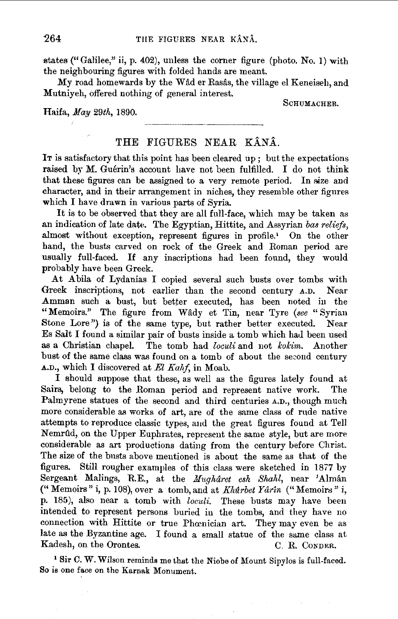states ("Galilee," ii, p. 402), unless the corner figure (photo. No. 1) with the neighbouring figures with folded hands are meant.

My road homewards by the Wâd er Rasâs, the village el Keneiseh, and Mutniyeh, offered nothing of general interest.

Haifa, *May* 29th, 1890.

SCHUMACHER.

## THE FIGURES NEAR KÂNÂ.

IT is satisfactory that this point has been cleared up ; but the expectations raised by M. Guérin's account have not been fulfilled. I do not think that these figures can be assigned to a very remote period. In *size* and character, and in their arrangement in niches, they resemble other figures which I have drawn in various parts of Syria.

It is to be observed that they are all full-face, which may be taken as an indication of late date. The Egyptian, Hittite, and Assyrian *bas reliefs,*  almost without exception, represent figures in profile.<sup>1</sup> On the other hand, the busts carved on rock of the Greek and Roman period are usually full-faced. If any inscriptions had been found, they would probably have been Greek.

At Abila of Lydanias I copied several such busts over tombs with Greek inscriptions, not earlier than the second century A.D. Near Amman such a bust, but better executed, has been noted in the "Memoirs." The figure from Wady et Tin, near Tyre *(see* "Syrian Stone Lore") is of the same type, but rather better executed. Near Es Salt I found a similar pair of busts inside a tomb which had been used as a Christian chapel. The tomb had *loculi* and not *kokim*. Another bust of the same class was found on a tomb of about the second century A.D., which I discovered at *El Kalif,* in Moab.

I should suppose that these, as well as the figures lately found at Sairs, belong to the Roman period and represent native work. The Palmyrene statues of the second and third centuries A.D., though much more considerable as works of art, are of the same class of rude native attempts to reproduce classic types, a11d the great figures found at Tell Nemrlld, on the Upper Euphrates, represent the same style, but are more considerable as art productions dating from the century before Christ. The size of the busts above mentioned is about the same as that of the figures. Still rougher examples of this class were sketched in 1877 by Sergeant Malings, R.E., at the *Mughâret esh Shahl*, near 'Almân ("Memoirs" i, p. 108), over a tomb, and at *Kkdrbet Yar2n* ("Memoirs" i, p. 185), also near a tomb with *loculi.* These busts may have been intended to represent persons buried in the tombs, and they have no connection with Hittite or true Phœnician art. They may even be as late as the Byzantine age. I found a small statue of the same class at Kadesh, on the Orontes. C. R. Conner.

1 Sir C. W. Wilson reminds me that the Niobe of Mount Sipylos is full-faced. So is one face on the Karnak Monument.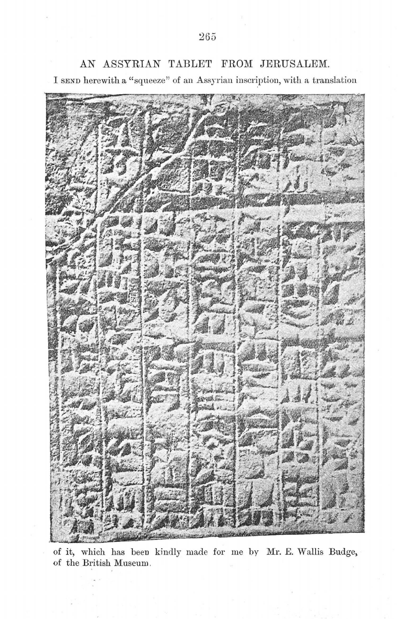

AN ASSYRIAN TABLET FROM JERUSALEM.

I SEND herewith a "squeeze" of an Assyrian inscription, with a translation

of it, which has been kindly made for me by Mr. *E.* Wallis Budge, of the British Museum .